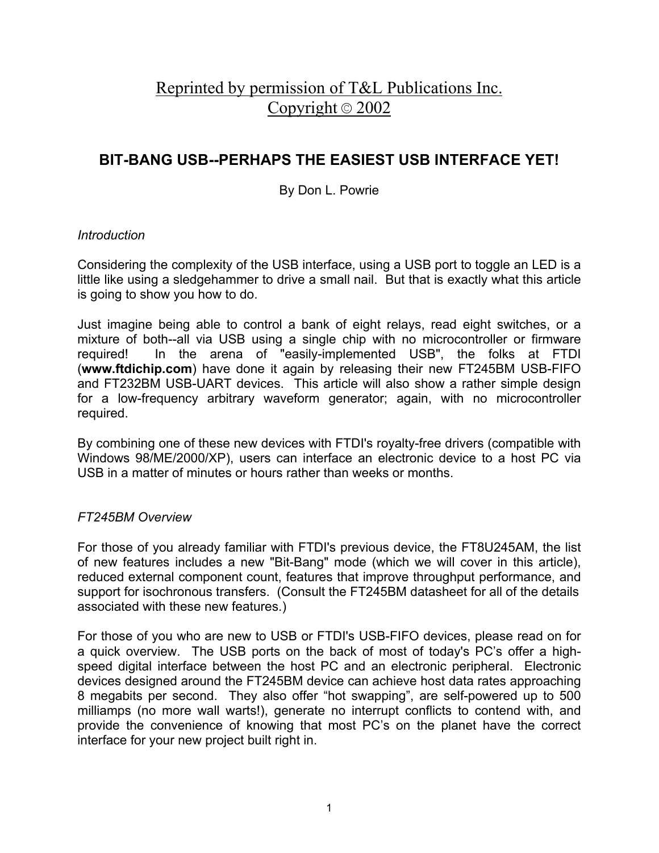# Reprinted by permission of T&L Publications Inc. Copyright © 2002

## **BIT-BANG USB--PERHAPS THE EASIEST USB INTERFACE YET!**

## By Don L. Powrie

## *Introduction*

Considering the complexity of the USB interface, using a USB port to toggle an LED is a little like using a sledgehammer to drive a small nail. But that is exactly what this article is going to show you how to do.

Just imagine being able to control a bank of eight relays, read eight switches, or a mixture of both--all via USB using a single chip with no microcontroller or firmware required! In the arena of "easily-implemented USB", the folks at FTDI (**www.ftdichip.com**) have done it again by releasing their new FT245BM USB-FIFO and FT232BM USB-UART devices. This article will also show a rather simple design for a low-frequency arbitrary waveform generator; again, with no microcontroller required.

By combining one of these new devices with FTDI's royalty-free drivers (compatible with Windows 98/ME/2000/XP), users can interface an electronic device to a host PC via USB in a matter of minutes or hours rather than weeks or months.

## *FT245BM Overview*

For those of you already familiar with FTDI's previous device, the FT8U245AM, the list of new features includes a new "Bit-Bang" mode (which we will cover in this article), reduced external component count, features that improve throughput performance, and support for isochronous transfers. (Consult the FT245BM datasheet for all of the details associated with these new features.)

For those of you who are new to USB or FTDI's USB-FIFO devices, please read on for a quick overview. The USB ports on the back of most of today's PC's offer a highspeed digital interface between the host PC and an electronic peripheral. Electronic devices designed around the FT245BM device can achieve host data rates approaching 8 megabits per second. They also offer "hot swapping", are self-powered up to 500 milliamps (no more wall warts!), generate no interrupt conflicts to contend with, and provide the convenience of knowing that most PC's on the planet have the correct interface for your new project built right in.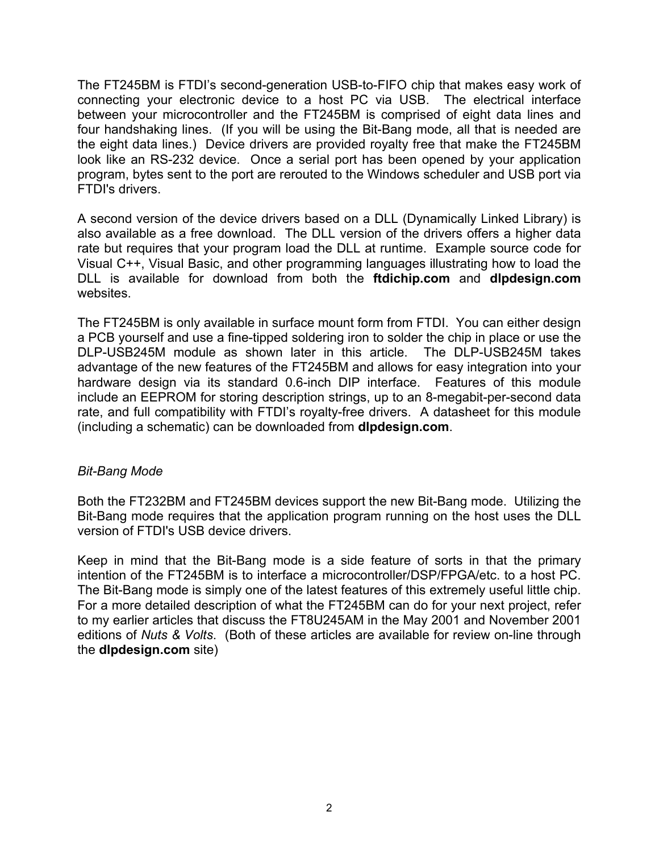The FT245BM is FTDI's second-generation USB-to-FIFO chip that makes easy work of connecting your electronic device to a host PC via USB. The electrical interface between your microcontroller and the FT245BM is comprised of eight data lines and four handshaking lines. (If you will be using the Bit-Bang mode, all that is needed are the eight data lines.) Device drivers are provided royalty free that make the FT245BM look like an RS-232 device. Once a serial port has been opened by your application program, bytes sent to the port are rerouted to the Windows scheduler and USB port via FTDI's drivers.

A second version of the device drivers based on a DLL (Dynamically Linked Library) is also available as a free download. The DLL version of the drivers offers a higher data rate but requires that your program load the DLL at runtime. Example source code for Visual C++, Visual Basic, and other programming languages illustrating how to load the DLL is available for download from both the **ftdichip.com** and **dlpdesign.com** websites.

The FT245BM is only available in surface mount form from FTDI. You can either design a PCB yourself and use a fine-tipped soldering iron to solder the chip in place or use the DLP-USB245M module as shown later in this article. The DLP-USB245M takes advantage of the new features of the FT245BM and allows for easy integration into your hardware design via its standard 0.6-inch DIP interface. Features of this module include an EEPROM for storing description strings, up to an 8-megabit-per-second data rate, and full compatibility with FTDI's royalty-free drivers. A datasheet for this module (including a schematic) can be downloaded from **dlpdesign.com**.

#### *Bit-Bang Mode*

Both the FT232BM and FT245BM devices support the new Bit-Bang mode. Utilizing the Bit-Bang mode requires that the application program running on the host uses the DLL version of FTDI's USB device drivers.

Keep in mind that the Bit-Bang mode is a side feature of sorts in that the primary intention of the FT245BM is to interface a microcontroller/DSP/FPGA/etc. to a host PC. The Bit-Bang mode is simply one of the latest features of this extremely useful little chip. For a more detailed description of what the FT245BM can do for your next project, refer to my earlier articles that discuss the FT8U245AM in the May 2001 and November 2001 editions of *Nuts & Volts*. (Both of these articles are available for review on-line through the **dlpdesign.com** site)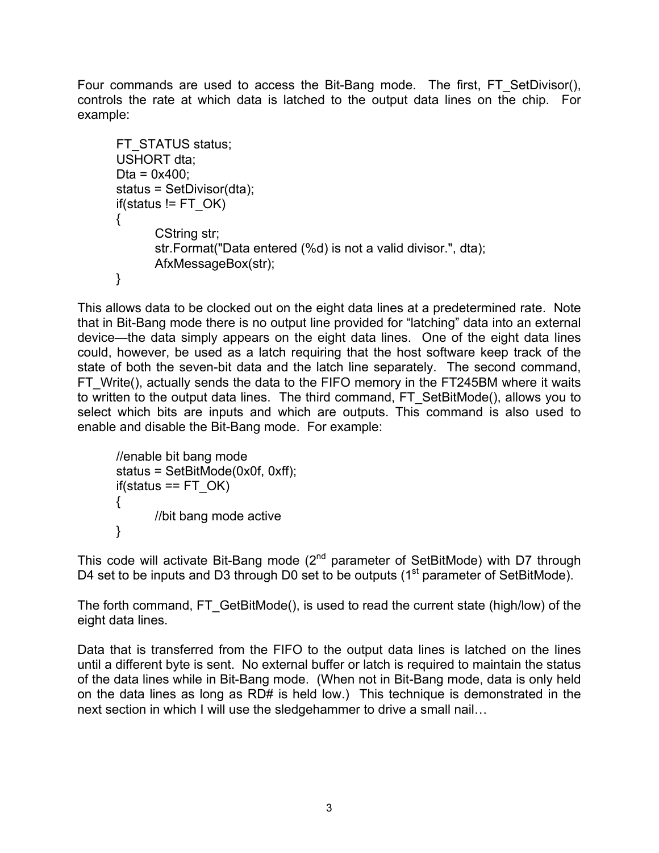Four commands are used to access the Bit-Bang mode. The first, FT SetDivisor(), controls the rate at which data is latched to the output data lines on the chip. For example:

```
FT_STATUS status;
USHORT dta:
Dta = 0x400;
status = SetDivisor(dta);
if(status != FT OK){
      CString str;
      str.Format("Data entered (%d) is not a valid divisor.", dta);
      AfxMessageBox(str);
}
```
This allows data to be clocked out on the eight data lines at a predetermined rate. Note that in Bit-Bang mode there is no output line provided for "latching" data into an external device—the data simply appears on the eight data lines. One of the eight data lines could, however, be used as a latch requiring that the host software keep track of the state of both the seven-bit data and the latch line separately. The second command, FT Write(), actually sends the data to the FIFO memory in the FT245BM where it waits to written to the output data lines. The third command, FT\_SetBitMode(), allows you to select which bits are inputs and which are outputs. This command is also used to enable and disable the Bit-Bang mode. For example:

```
//enable bit bang mode
status = SetBitMode(0x0f, 0xff);
if(status == FT OK)
{
      //bit bang mode active
}
```
This code will activate Bit-Bang mode  $(2^{nd}$  parameter of SetBitMode) with D7 through D4 set to be inputs and D3 through D0 set to be outputs (1<sup>st</sup> parameter of SetBitMode).

The forth command, FT GetBitMode(), is used to read the current state (high/low) of the eight data lines.

Data that is transferred from the FIFO to the output data lines is latched on the lines until a different byte is sent. No external buffer or latch is required to maintain the status of the data lines while in Bit-Bang mode. (When not in Bit-Bang mode, data is only held on the data lines as long as RD# is held low.) This technique is demonstrated in the next section in which I will use the sledgehammer to drive a small nail…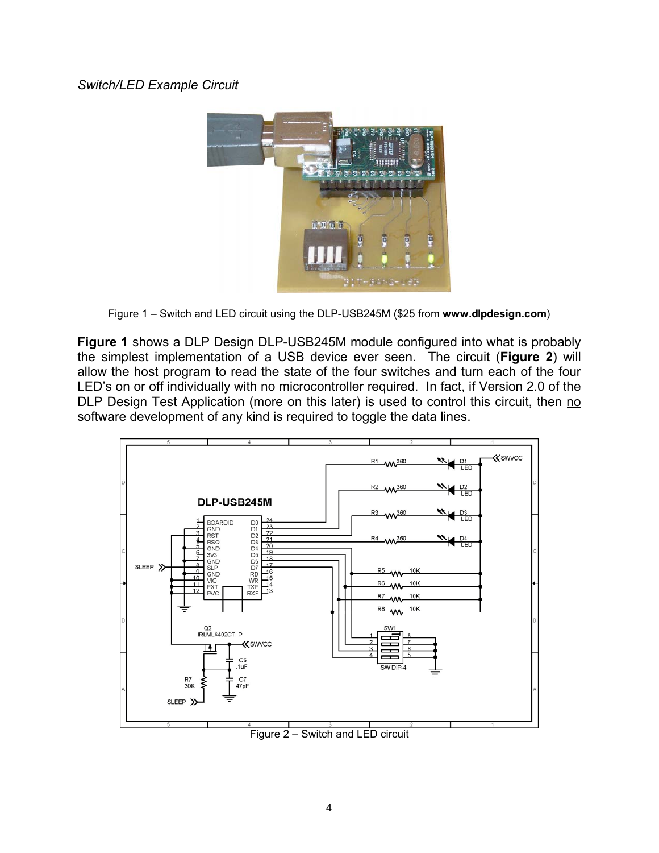#### *Switch/LED Example Circuit*



Figure 1 – Switch and LED circuit using the DLP-USB245M (\$25 from **www.dlpdesign.com**)

**Figure 1** shows a DLP Design DLP-USB245M module configured into what is probably the simplest implementation of a USB device ever seen. The circuit (**Figure 2**) will allow the host program to read the state of the four switches and turn each of the four LED's on or off individually with no microcontroller required. In fact, if Version 2.0 of the DLP Design Test Application (more on this later) is used to control this circuit, then no software development of any kind is required to toggle the data lines.



Figure 2 – Switch and LED circuit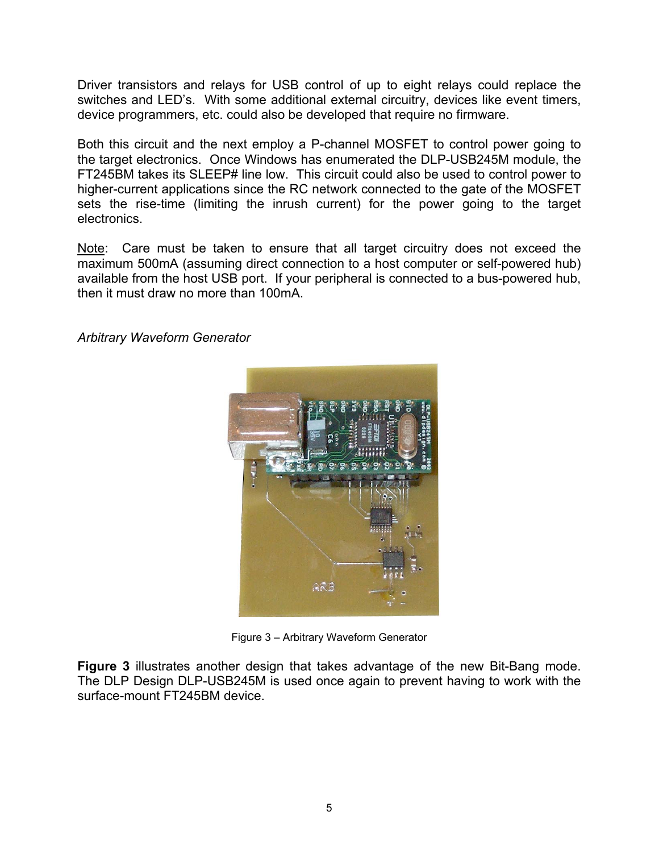Driver transistors and relays for USB control of up to eight relays could replace the switches and LED's. With some additional external circuitry, devices like event timers, device programmers, etc. could also be developed that require no firmware.

Both this circuit and the next employ a P-channel MOSFET to control power going to the target electronics. Once Windows has enumerated the DLP-USB245M module, the FT245BM takes its SLEEP# line low. This circuit could also be used to control power to higher-current applications since the RC network connected to the gate of the MOSFET sets the rise-time (limiting the inrush current) for the power going to the target electronics.

Note: Care must be taken to ensure that all target circuitry does not exceed the maximum 500mA (assuming direct connection to a host computer or self-powered hub) available from the host USB port. If your peripheral is connected to a bus-powered hub, then it must draw no more than 100mA.



#### *Arbitrary Waveform Generator*

Figure 3 – Arbitrary Waveform Generator

**Figure 3** illustrates another design that takes advantage of the new Bit-Bang mode. The DLP Design DLP-USB245M is used once again to prevent having to work with the surface-mount FT245BM device.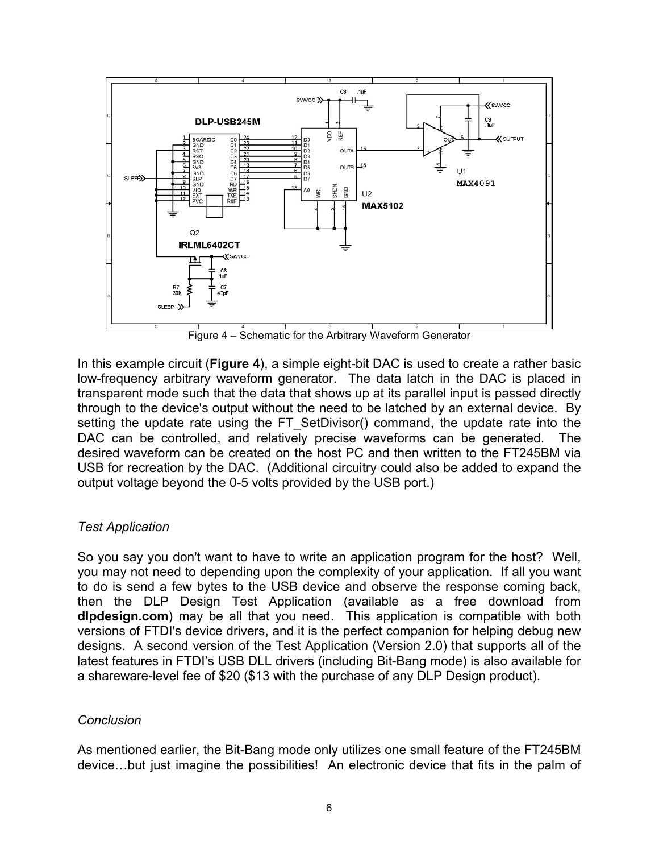

Figure 4 – Schematic for the Arbitrary Waveform Generator

In this example circuit (**Figure 4**), a simple eight-bit DAC is used to create a rather basic low-frequency arbitrary waveform generator. The data latch in the DAC is placed in transparent mode such that the data that shows up at its parallel input is passed directly through to the device's output without the need to be latched by an external device. By setting the update rate using the FT SetDivisor() command, the update rate into the DAC can be controlled, and relatively precise waveforms can be generated. The desired waveform can be created on the host PC and then written to the FT245BM via USB for recreation by the DAC. (Additional circuitry could also be added to expand the output voltage beyond the 0-5 volts provided by the USB port.)

#### *Test Application*

So you say you don't want to have to write an application program for the host? Well, you may not need to depending upon the complexity of your application. If all you want to do is send a few bytes to the USB device and observe the response coming back, then the DLP Design Test Application (available as a free download from **dlpdesign.com**) may be all that you need. This application is compatible with both versions of FTDI's device drivers, and it is the perfect companion for helping debug new designs. A second version of the Test Application (Version 2.0) that supports all of the latest features in FTDI's USB DLL drivers (including Bit-Bang mode) is also available for a shareware-level fee of \$20 (\$13 with the purchase of any DLP Design product).

#### *Conclusion*

As mentioned earlier, the Bit-Bang mode only utilizes one small feature of the FT245BM device…but just imagine the possibilities! An electronic device that fits in the palm of